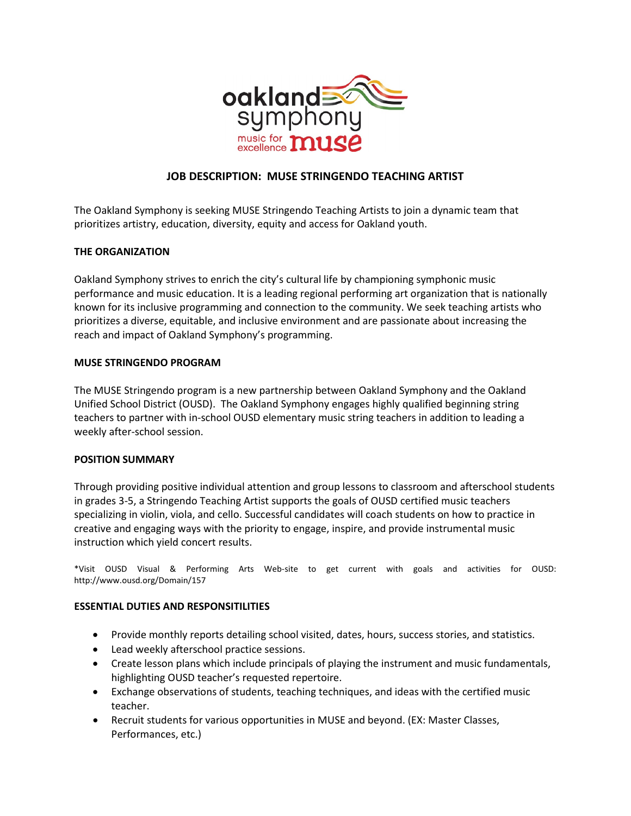

# **JOB DESCRIPTION: MUSE STRINGENDO TEACHING ARTIST**

The Oakland Symphony is seeking MUSE Stringendo Teaching Artists to join a dynamic team that prioritizes artistry, education, diversity, equity and access for Oakland youth.

# **THE ORGANIZATION**

Oakland Symphony strives to enrich the city's cultural life by championing symphonic music performance and music education. It is a leading regional performing art organization that is nationally known for its inclusive programming and connection to the community. We seek teaching artists who prioritizes a diverse, equitable, and inclusive environment and are passionate about increasing the reach and impact of Oakland Symphony's programming.

#### **MUSE STRINGENDO PROGRAM**

The MUSE Stringendo program is a new partnership between Oakland Symphony and the Oakland Unified School District (OUSD). The Oakland Symphony engages highly qualified beginning string teachers to partner with in-school OUSD elementary music string teachers in addition to leading a weekly after-school session.

#### **POSITION SUMMARY**

Through providing positive individual attention and group lessons to classroom and afterschool students in grades 3-5, a Stringendo Teaching Artist supports the goals of OUSD certified music teachers specializing in violin, viola, and cello. Successful candidates will coach students on how to practice in creative and engaging ways with the priority to engage, inspire, and provide instrumental music instruction which yield concert results.

\*Visit OUSD Visual & Performing Arts Web-site to get current with goals and activities for OUSD: http://www.ousd.org/Domain/157

#### **ESSENTIAL DUTIES AND RESPONSITILITIES**

- Provide monthly reports detailing school visited, dates, hours, success stories, and statistics.
- Lead weekly afterschool practice sessions.
- Create lesson plans which include principals of playing the instrument and music fundamentals, highlighting OUSD teacher's requested repertoire.
- Exchange observations of students, teaching techniques, and ideas with the certified music teacher.
- Recruit students for various opportunities in MUSE and beyond. (EX: Master Classes, Performances, etc.)